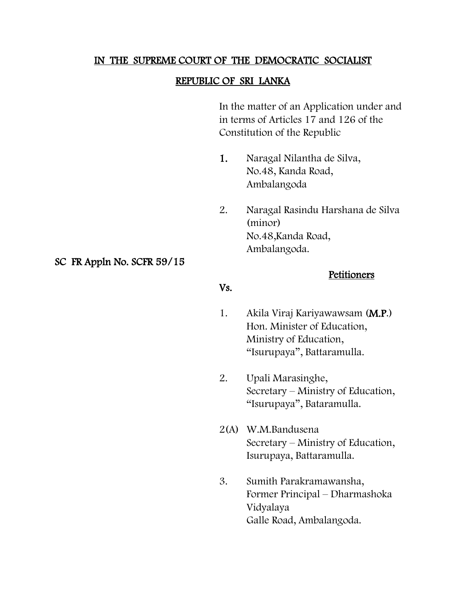#### IN THE SUPREME COURT OF THE DEMOCRATIC SOCIALIST

### REPUBLIC OF SRI LANKA

In the matter of an Application under and in terms of Articles 17 and 126 of the Constitution of the Republic

- 1. Naragal Nilantha de Silva, No.48, Kanda Road, Ambalangoda
- 2. Naragal Rasindu Harshana de Silva (minor) No.48,Kanda Road, Ambalangoda.

### SC FR Appln No. SCFR 59/15

Vs.

#### **Petitioners**

- 1. Akila Viraj Kariyawawsam (M.P.) Hon. Minister of Education, Ministry of Education, "Isurupaya", Battaramulla.
- 2. Upali Marasinghe, Secretary – Ministry of Education, "Isurupaya", Bataramulla.
- 2(A) W.M.Bandusena Secretary – Ministry of Education, Isurupaya, Battaramulla.
- 3. Sumith Parakramawansha, Former Principal – Dharmashoka Vidyalaya Galle Road, Ambalangoda.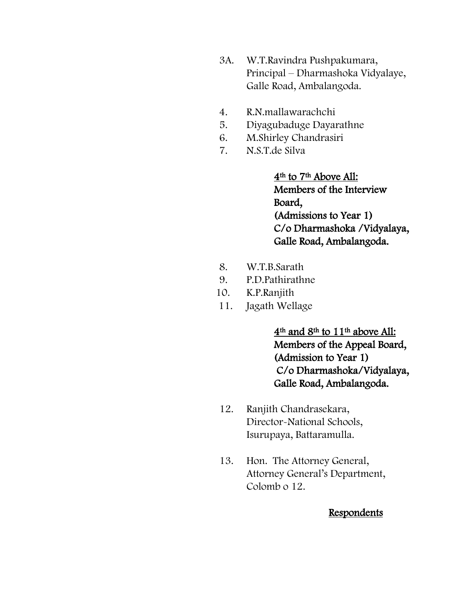- 3A. W.T.Ravindra Pushpakumara, Principal – Dharmashoka Vidyalaye, Galle Road, Ambalangoda.
- 4. R.N.mallawarachchi
- 5. Diyagubaduge Dayarathne
- 6. M.Shirley Chandrasiri
- 7. N.S.T.de Silva

4th to 7th Above All: Members of the Interview Board, (Admissions to Year 1) C/o Dharmashoka /Vidyalaya, Galle Road, Ambalangoda.

- 8. W.T.B.Sarath
- 9. P.D.Pathirathne
- 10. K.P.Ranjith
- 11. Jagath Wellage

4th and 8th to 11th above All: Members of the Appeal Board, (Admission to Year 1) C/o Dharmashoka/Vidyalaya, Galle Road, Ambalangoda.

- 12. Ranjith Chandrasekara, Director-National Schools, Isurupaya, Battaramulla.
- 13. Hon. The Attorney General, Attorney General's Department, Colomb o 12.

### **Respondents**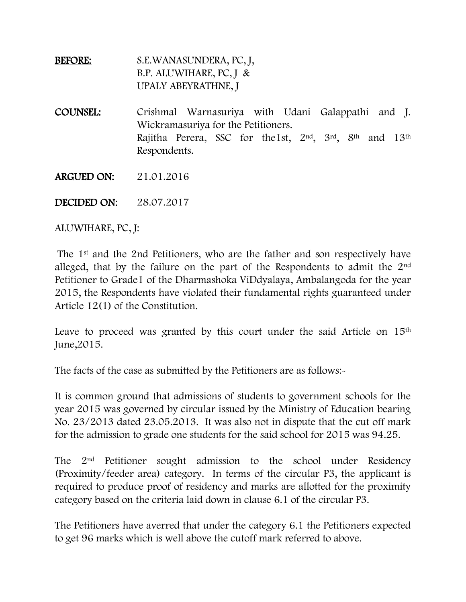## BEFORE: S.E.WANASUNDERA, PC, J, B.P. ALUWIHARE, PC, J & UPALY ABEYRATHNE, J

COUNSEL: Crishmal Warnasuriya with Udani Galappathi and J. Wickramasuriya for the Petitioners. Rajitha Perera, SSC for the1st, 2nd , 3rd, 8th and 13th Respondents.

ARGUED ON: 21.01.2016

DECIDED ON: 28.07.2017

ALUWIHARE, PC, J:

The 1st and the 2nd Petitioners, who are the father and son respectively have alleged, that by the failure on the part of the Respondents to admit the 2nd Petitioner to Grade1 of the Dharmashoka ViDdyalaya, Ambalangoda for the year 2015, the Respondents have violated their fundamental rights guaranteed under Article 12(1) of the Constitution.

Leave to proceed was granted by this court under the said Article on 15<sup>th</sup> June,2015.

The facts of the case as submitted by the Petitioners are as follows:-

It is common ground that admissions of students to government schools for the year 2015 was governed by circular issued by the Ministry of Education bearing No. 23/2013 dated 23.05.2013. It was also not in dispute that the cut off mark for the admission to grade one students for the said school for 2015 was 94.25.

The 2nd Petitioner sought admission to the school under Residency (Proximity/feeder area) category. In terms of the circular P3, the applicant is required to produce proof of residency and marks are allotted for the proximity category based on the criteria laid down in clause 6.1 of the circular P3.

The Petitioners have averred that under the category 6.1 the Petitioners expected to get 96 marks which is well above the cutoff mark referred to above.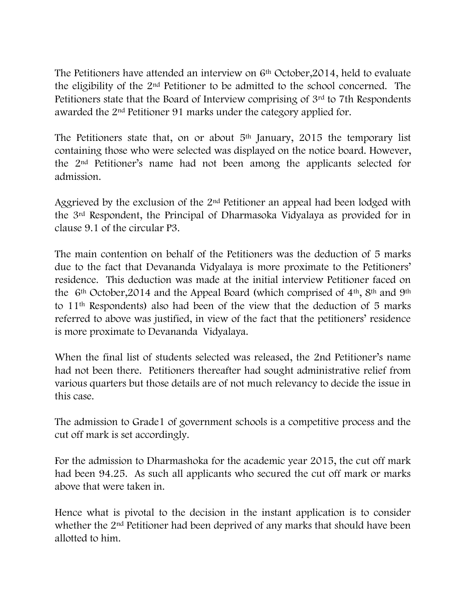The Petitioners have attended an interview on  $6<sup>th</sup>$  October, 2014, held to evaluate the eligibility of the 2nd Petitioner to be admitted to the school concerned. The Petitioners state that the Board of Interview comprising of 3rd to 7th Respondents awarded the 2nd Petitioner 91 marks under the category applied for.

The Petitioners state that, on or about  $5<sup>th</sup>$  January, 2015 the temporary list containing those who were selected was displayed on the notice board. However, the 2nd Petitioner's name had not been among the applicants selected for admission.

Aggrieved by the exclusion of the 2<sup>nd</sup> Petitioner an appeal had been lodged with the 3rd Respondent, the Principal of Dharmasoka Vidyalaya as provided for in clause 9.1 of the circular P3.

The main contention on behalf of the Petitioners was the deduction of 5 marks due to the fact that Devananda Vidyalaya is more proximate to the Petitioners' residence. This deduction was made at the initial interview Petitioner faced on the  $6<sup>th</sup> October, 2014$  and the Appeal Board (which comprised of  $4<sup>th</sup>$ ,  $8<sup>th</sup>$  and  $9<sup>th</sup>$ to 11th Respondents) also had been of the view that the deduction of 5 marks referred to above was justified, in view of the fact that the petitioners' residence is more proximate to Devananda Vidyalaya.

When the final list of students selected was released, the 2nd Petitioner's name had not been there. Petitioners thereafter had sought administrative relief from various quarters but those details are of not much relevancy to decide the issue in this case.

The admission to Grade1 of government schools is a competitive process and the cut off mark is set accordingly.

For the admission to Dharmashoka for the academic year 2015, the cut off mark had been 94.25. As such all applicants who secured the cut off mark or marks above that were taken in.

Hence what is pivotal to the decision in the instant application is to consider whether the 2nd Petitioner had been deprived of any marks that should have been allotted to him.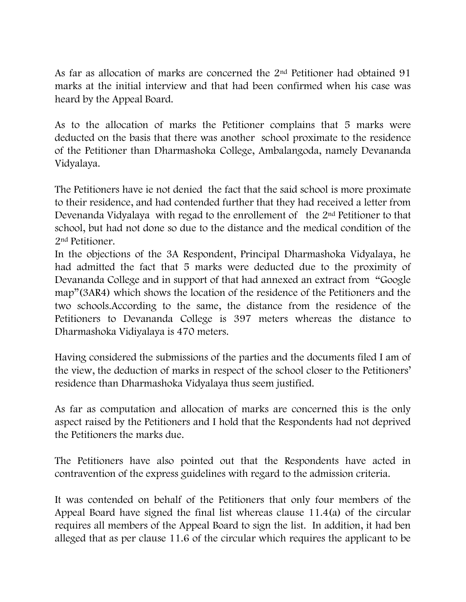As far as allocation of marks are concerned the 2nd Petitioner had obtained 91 marks at the initial interview and that had been confirmed when his case was heard by the Appeal Board.

As to the allocation of marks the Petitioner complains that 5 marks were deducted on the basis that there was another school proximate to the residence of the Petitioner than Dharmashoka College, Ambalangoda, namely Devananda Vidyalaya.

The Petitioners have ie not denied the fact that the said school is more proximate to their residence, and had contended further that they had received a letter from Devenanda Vidyalaya with regad to the enrollement of the 2nd Petitioner to that school, but had not done so due to the distance and the medical condition of the 2nd Petitioner.

In the objections of the 3A Respondent, Principal Dharmashoka Vidyalaya, he had admitted the fact that 5 marks were deducted due to the proximity of Devananda College and in support of that had annexed an extract from "Google map"(3AR4) which shows the location of the residence of the Petitioners and the two schools.According to the same, the distance from the residence of the Petitioners to Devananda College is 397 meters whereas the distance to Dharmashoka Vidiyalaya is 470 meters.

Having considered the submissions of the parties and the documents filed I am of the view, the deduction of marks in respect of the school closer to the Petitioners' residence than Dharmashoka Vidyalaya thus seem justified.

As far as computation and allocation of marks are concerned this is the only aspect raised by the Petitioners and I hold that the Respondents had not deprived the Petitioners the marks due.

The Petitioners have also pointed out that the Respondents have acted in contravention of the express guidelines with regard to the admission criteria.

It was contended on behalf of the Petitioners that only four members of the Appeal Board have signed the final list whereas clause 11.4(a) of the circular requires all members of the Appeal Board to sign the list. In addition, it had ben alleged that as per clause 11.6 of the circular which requires the applicant to be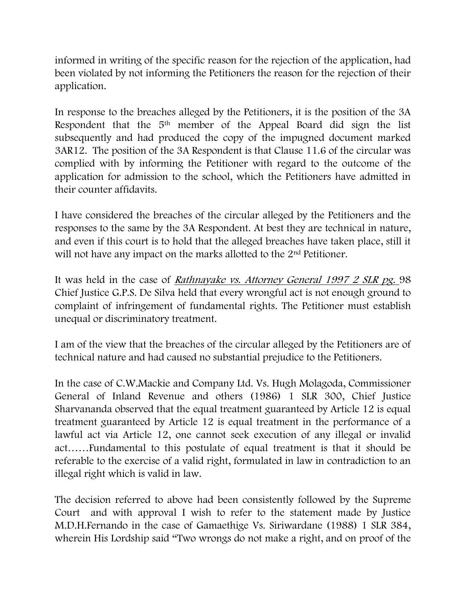informed in writing of the specific reason for the rejection of the application, had been violated by not informing the Petitioners the reason for the rejection of their application.

In response to the breaches alleged by the Petitioners, it is the position of the 3A Respondent that the 5<sup>th</sup> member of the Appeal Board did sign the list subsequently and had produced the copy of the impugned document marked 3AR12. The position of the 3A Respondent is that Clause 11.6 of the circular was complied with by informing the Petitioner with regard to the outcome of the application for admission to the school, which the Petitioners have admitted in their counter affidavits.

I have considered the breaches of the circular alleged by the Petitioners and the responses to the same by the 3A Respondent. At best they are technical in nature, and even if this court is to hold that the alleged breaches have taken place, still it will not have any impact on the marks allotted to the 2<sup>nd</sup> Petitioner.

It was held in the case of Rathnayake vs. Attorney General 1997 2 SLR pg. 98 Chief Justice G.P.S. De Silva held that every wrongful act is not enough ground to complaint of infringement of fundamental rights. The Petitioner must establish unequal or discriminatory treatment.

I am of the view that the breaches of the circular alleged by the Petitioners are of technical nature and had caused no substantial prejudice to the Petitioners.

In the case of C.W.Mackie and Company Ltd. Vs. Hugh Molagoda, Commissioner General of Inland Revenue and others (1986) 1 SLR 300, Chief Justice Sharvananda observed that the equal treatment guaranteed by Article 12 is equal treatment guaranteed by Article 12 is equal treatment in the performance of a lawful act via Article 12, one cannot seek execution of any illegal or invalid act……Fundamental to this postulate of equal treatment is that it should be referable to the exercise of a valid right, formulated in law in contradiction to an illegal right which is valid in law.

The decision referred to above had been consistently followed by the Supreme Court and with approval I wish to refer to the statement made by Justice M.D.H.Fernando in the case of Gamaethige Vs. Siriwardane (1988) 1 SLR 384, wherein His Lordship said "Two wrongs do not make a right, and on proof of the